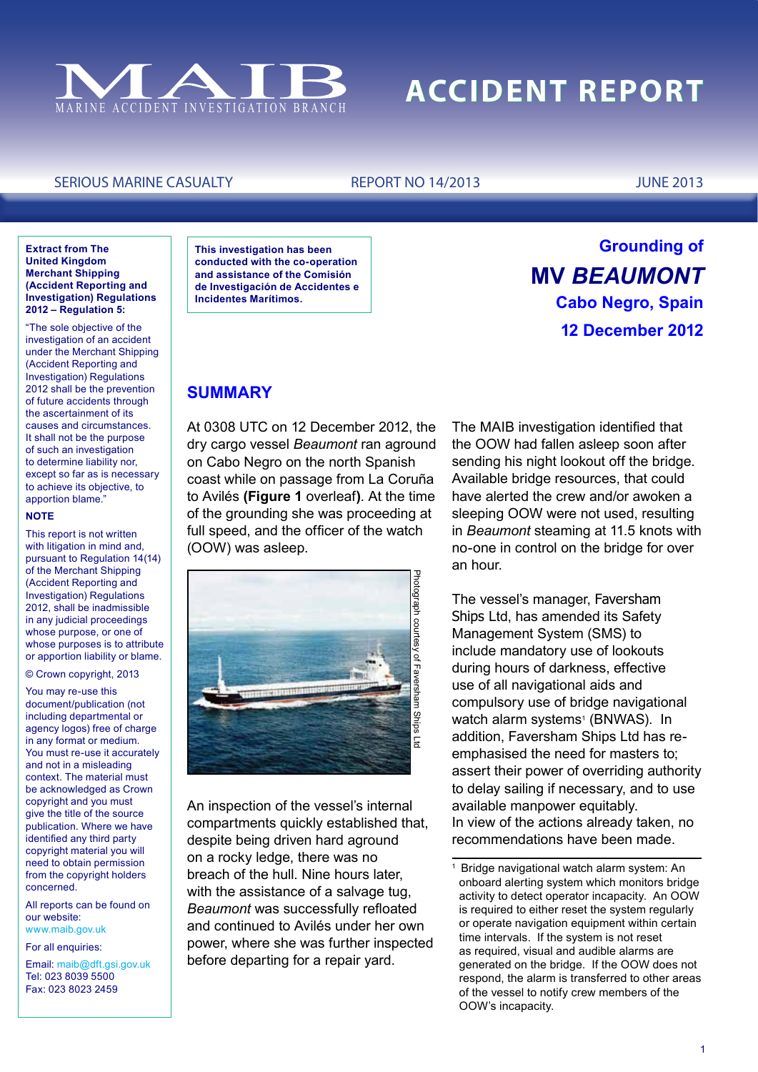

# **ACCIDENT REPORT**

### SERIOUS MARINE CASUALTY REPORT NO 14/2013 JUNE 2013

#### **Extract from The United Kingdom Merchant Shipping (Accident Reporting and Investigation) Regulations 2012 – Regulation 5:**

"The sole objective of the investigation of an accident under the Merchant Shipping (Accident Reporting and Investigation) Regulations 2012 shall be the prevention of future accidents through the ascertainment of its causes and circumstances. It shall not be the purpose of such an investigation to determine liability nor, except so far as is necessary to achieve its objective, to apportion blame."

#### **NOTE**

This report is not written with litigation in mind and, pursuant to Regulation 14(14) of the Merchant Shipping (Accident Reporting and Investigation) Regulations 2012, shall be inadmissible in any judicial proceedings whose purpose, or one of whose purposes is to attribute or apportion liability or blame.

#### © Crown copyright, 2013

You may re-use this document/publication (not including departmental or agency logos) free of charge in any format or medium. You must re-use it accurately and not in a misleading context. The material must be acknowledged as Crown copyright and you must give the title of the source publication. Where we have identified any third party copyright material you will need to obtain permission from the copyright holders concerned.

All reports can be found on our website: www.maib.gov.uk

For all enquiries:

Email: maib@dft.gsi.gov.uk Tel: 023 8039 5500 Fax: 023 8023 2459

**This investigation has been conducted with the co-operation and assistance of the Comisión de Investigación de Accidentes e Incidentes Marítimos.**

# **Grounding of MV** *Beaumont* **Cabo Negro, Spain 12 December 2012**

# **SUMMARY**

At 0308 UTC on 12 December 2012, the dry cargo vessel *Beaumont* ran aground on Cabo Negro on the north Spanish coast while on passage from La Coruña to Avilés **(Figure 1** overleaf**)**. At the time of the grounding she was proceeding at full speed, and the officer of the watch (OOW) was asleep.



An inspection of the vessel's internal compartments quickly established that, despite being driven hard aground on a rocky ledge, there was no breach of the hull. Nine hours later, with the assistance of a salvage tug, *Beaumont* was successfully refloated and continued to Avilés under her own power, where she was further inspected before departing for a repair yard.

The MAIB investigation identified that the OOW had fallen asleep soon after sending his night lookout off the bridge. Available bridge resources, that could have alerted the crew and/or awoken a sleeping OOW were not used, resulting in *Beaumont* steaming at 11.5 knots with no-one in control on the bridge for over an hour.

The vessel's manager, Faversham Ships Ltd, has amended its Safety Management System (SMS) to include mandatory use of lookouts during hours of darkness, effective use of all navigational aids and compulsory use of bridge navigational watch alarm systems<sup>1</sup> (BNWAS). In addition, Faversham Ships Ltd has reemphasised the need for masters to; assert their power of overriding authority to delay sailing if necessary, and to use available manpower equitably. In view of the actions already taken, no recommendations have been made.

Bridge navigational watch alarm system: An onboard alerting system which monitors bridge activity to detect operator incapacity. An OOW is required to either reset the system regularly or operate navigation equipment within certain time intervals. If the system is not reset as required, visual and audible alarms are generated on the bridge. If the OOW does not respond, the alarm is transferred to other areas of the vessel to notify crew members of the OOW's incapacity.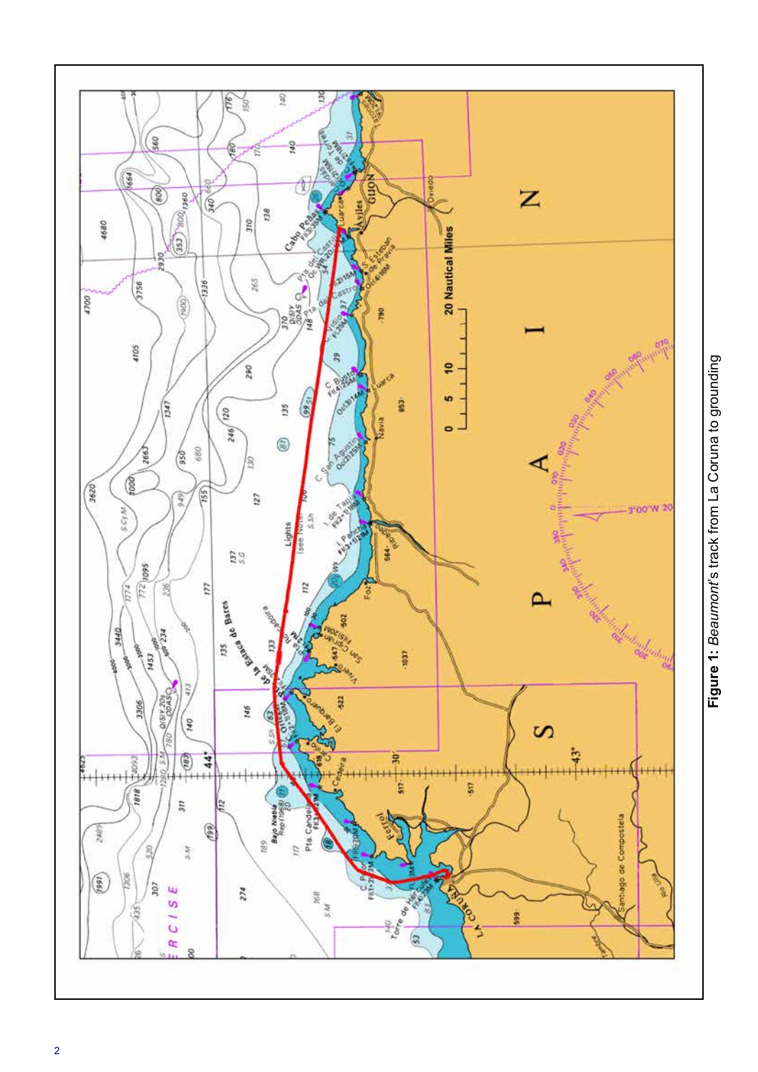

Figure 1: Beaumont's track from La Coruna to grounding **Figure 1:** *Beaumont*'s track from La Coruna to grounding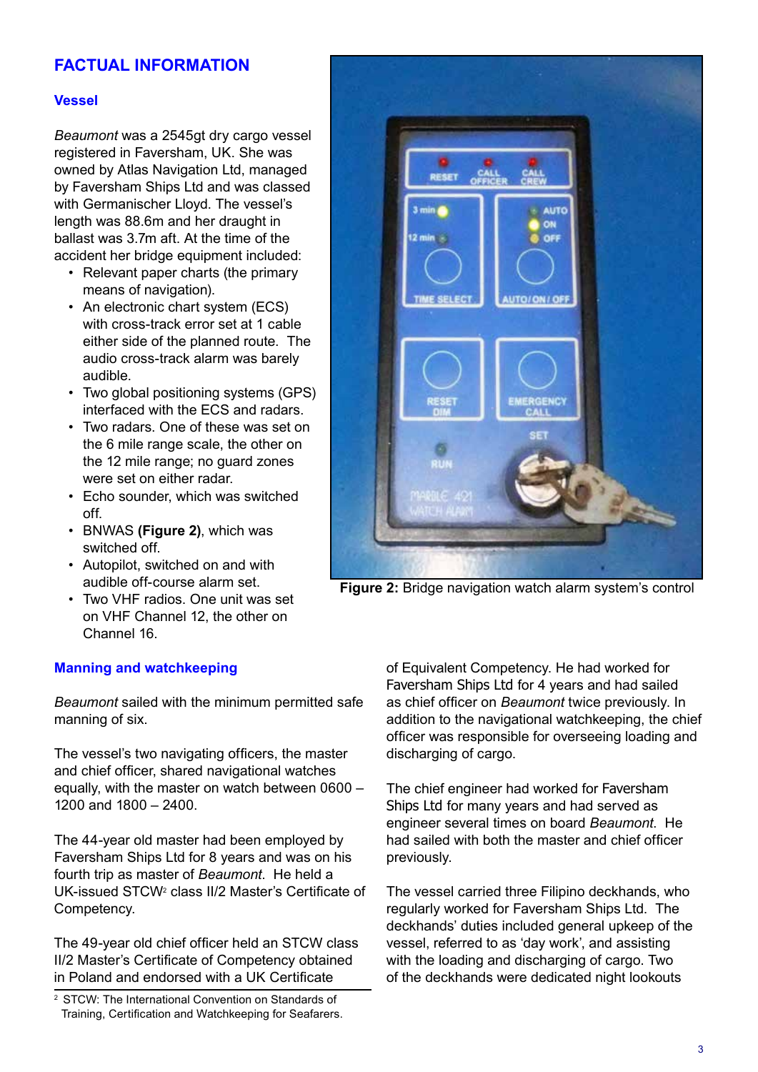# **FACTUAL INFORMATION**

# **Vessel**

*Beaumont* was a 2545gt dry cargo vessel registered in Faversham, UK. She was owned by Atlas Navigation Ltd, managed by Faversham Ships Ltd and was classed with Germanischer Lloyd. The vessel's length was 88.6m and her draught in ballast was 3.7m aft. At the time of the accident her bridge equipment included:

- Relevant paper charts (the primary means of navigation).
- An electronic chart system (ECS) with cross-track error set at 1 cable either side of the planned route. The audio cross-track alarm was barely audible.
- Two global positioning systems (GPS) interfaced with the ECS and radars.
- Two radars. One of these was set on the 6 mile range scale, the other on the 12 mile range; no guard zones were set on either radar.
- Echo sounder, which was switched off.
- BNWAS **(Figure 2)**, which was switched off.
- Autopilot, switched on and with audible off-course alarm set.
- Two VHF radios. One unit was set on VHF Channel 12, the other on Channel 16.

## **Manning and watchkeeping**

*Beaumont* sailed with the minimum permitted safe manning of six.

The vessel's two navigating officers, the master and chief officer, shared navigational watches equally, with the master on watch between 0600 – 1200 and 1800 – 2400.

The 44-year old master had been employed by Faversham Ships Ltd for 8 years and was on his fourth trip as master of *Beaumont*. He held a UK-issued STCW<sup>2</sup> class II/2 Master's Certificate of Competency.

The 49-year old chief officer held an STCW class II/2 Master's Certificate of Competency obtained in Poland and endorsed with a UK Certificate



**Figure 2:** Bridge navigation watch alarm system's control

of Equivalent Competency. He had worked for Faversham Ships Ltd for 4 years and had sailed as chief officer on *Beaumont* twice previously. In addition to the navigational watchkeeping, the chief officer was responsible for overseeing loading and discharging of cargo.

The chief engineer had worked for Faversham Ships Ltd for many years and had served as engineer several times on board *Beaumont*. He had sailed with both the master and chief officer previously.

The vessel carried three Filipino deckhands, who regularly worked for Faversham Ships Ltd. The deckhands' duties included general upkeep of the vessel, referred to as 'day work', and assisting with the loading and discharging of cargo. Two of the deckhands were dedicated night lookouts

<sup>2</sup> STCW: The International Convention on Standards of Training, Certification and Watchkeeping for Seafarers.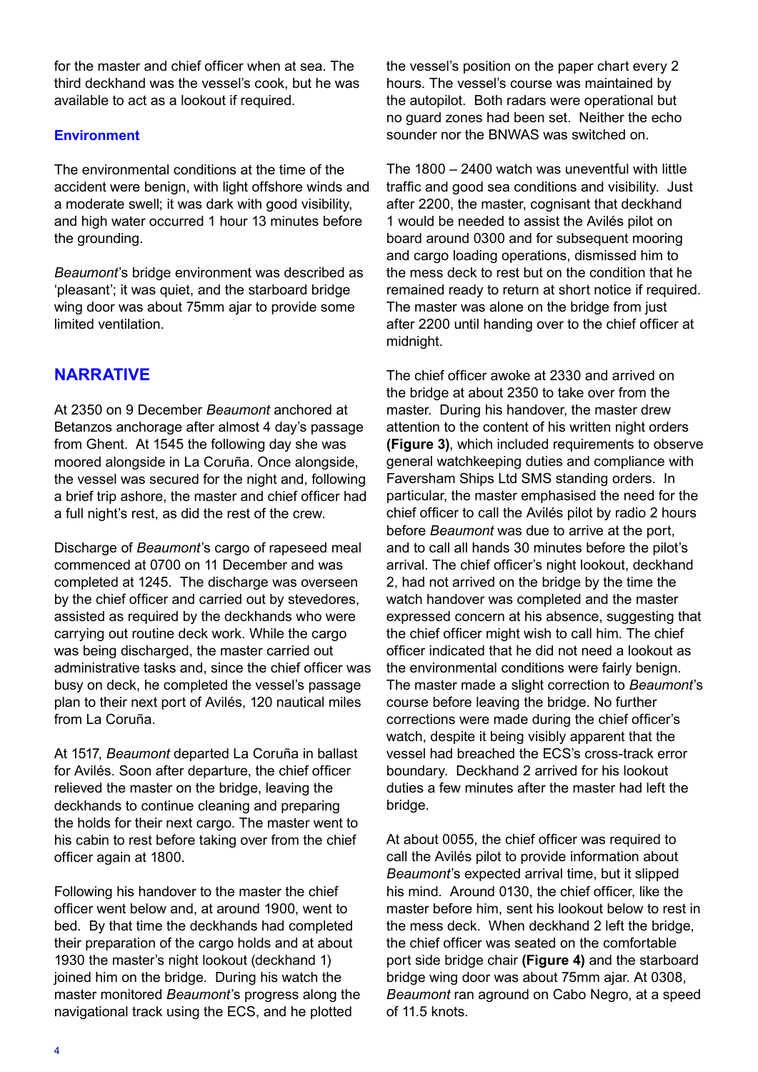for the master and chief officer when at sea. The third deckhand was the vessel's cook, but he was available to act as a lookout if required.

# **Environment**

The environmental conditions at the time of the accident were benign, with light offshore winds and a moderate swell; it was dark with good visibility, and high water occurred 1 hour 13 minutes before the grounding.

*Beaumont*'s bridge environment was described as 'pleasant'; it was quiet, and the starboard bridge wing door was about 75mm ajar to provide some limited ventilation.

# **NARRATIVE**

At 2350 on 9 December *Beaumont* anchored at Betanzos anchorage after almost 4 day's passage from Ghent. At 1545 the following day she was moored alongside in La Coruña. Once alongside, the vessel was secured for the night and, following a brief trip ashore, the master and chief officer had a full night's rest, as did the rest of the crew.

Discharge of *Beaumont*'s cargo of rapeseed meal commenced at 0700 on 11 December and was completed at 1245. The discharge was overseen by the chief officer and carried out by stevedores, assisted as required by the deckhands who were carrying out routine deck work. While the cargo was being discharged, the master carried out administrative tasks and, since the chief officer was busy on deck, he completed the vessel's passage plan to their next port of Avilés, 120 nautical miles from La Coruña.

At 1517, *Beaumont* departed La Coruña in ballast for Avilés. Soon after departure, the chief officer relieved the master on the bridge, leaving the deckhands to continue cleaning and preparing the holds for their next cargo. The master went to his cabin to rest before taking over from the chief officer again at 1800.

Following his handover to the master the chief officer went below and, at around 1900, went to bed. By that time the deckhands had completed their preparation of the cargo holds and at about 1930 the master's night lookout (deckhand 1) joined him on the bridge. During his watch the master monitored *Beaumont*'s progress along the navigational track using the ECS, and he plotted

the vessel's position on the paper chart every 2 hours. The vessel's course was maintained by the autopilot. Both radars were operational but no guard zones had been set. Neither the echo sounder nor the BNWAS was switched on.

The 1800 – 2400 watch was uneventful with little traffic and good sea conditions and visibility. Just after 2200, the master, cognisant that deckhand 1 would be needed to assist the Avilés pilot on board around 0300 and for subsequent mooring and cargo loading operations, dismissed him to the mess deck to rest but on the condition that he remained ready to return at short notice if required. The master was alone on the bridge from just after 2200 until handing over to the chief officer at midnight.

The chief officer awoke at 2330 and arrived on the bridge at about 2350 to take over from the master. During his handover, the master drew attention to the content of his written night orders **(Figure 3)**, which included requirements to observe general watchkeeping duties and compliance with Faversham Ships Ltd SMS standing orders. In particular, the master emphasised the need for the chief officer to call the Avilés pilot by radio 2 hours before *Beaumont* was due to arrive at the port, and to call all hands 30 minutes before the pilot's arrival. The chief officer's night lookout, deckhand 2, had not arrived on the bridge by the time the watch handover was completed and the master expressed concern at his absence, suggesting that the chief officer might wish to call him. The chief officer indicated that he did not need a lookout as the environmental conditions were fairly benign. The master made a slight correction to *Beaumont*'s course before leaving the bridge. No further corrections were made during the chief officer's watch, despite it being visibly apparent that the vessel had breached the ECS's cross-track error boundary. Deckhand 2 arrived for his lookout duties a few minutes after the master had left the bridge.

At about 0055, the chief officer was required to call the Avilés pilot to provide information about *Beaumont*'s expected arrival time, but it slipped his mind. Around 0130, the chief officer, like the master before him, sent his lookout below to rest in the mess deck. When deckhand 2 left the bridge, the chief officer was seated on the comfortable port side bridge chair **(Figure 4)** and the starboard bridge wing door was about 75mm ajar. At 0308, *Beaumont* ran aground on Cabo Negro, at a speed of 11.5 knots.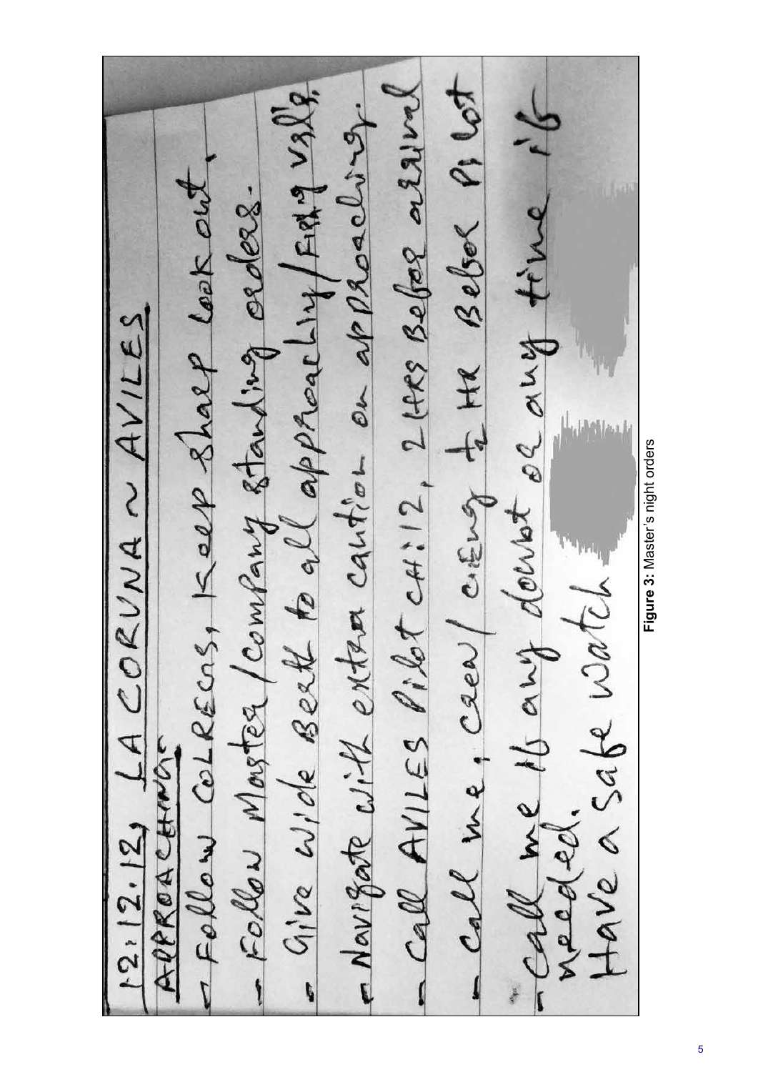- Call me, crew/ crewing to HR Belser P1 lot - Give Wide Berth to all approaching faith valle - Call AVILES Pilot CH:12, 2 LARS Befor a Elliral Call me 16 ans doubt ol any time if - Novigate with extra cantion on approaching. - Follow Collecas, Keep Shalp look out, - Follow Moster / comfany standing orders.  $12.12.12$  LA CORVNA ~ AVILES Have a sabe watch! APPROACHINGS needed.

Figure 3: Master's night orders **Figure 3:** Master's night orders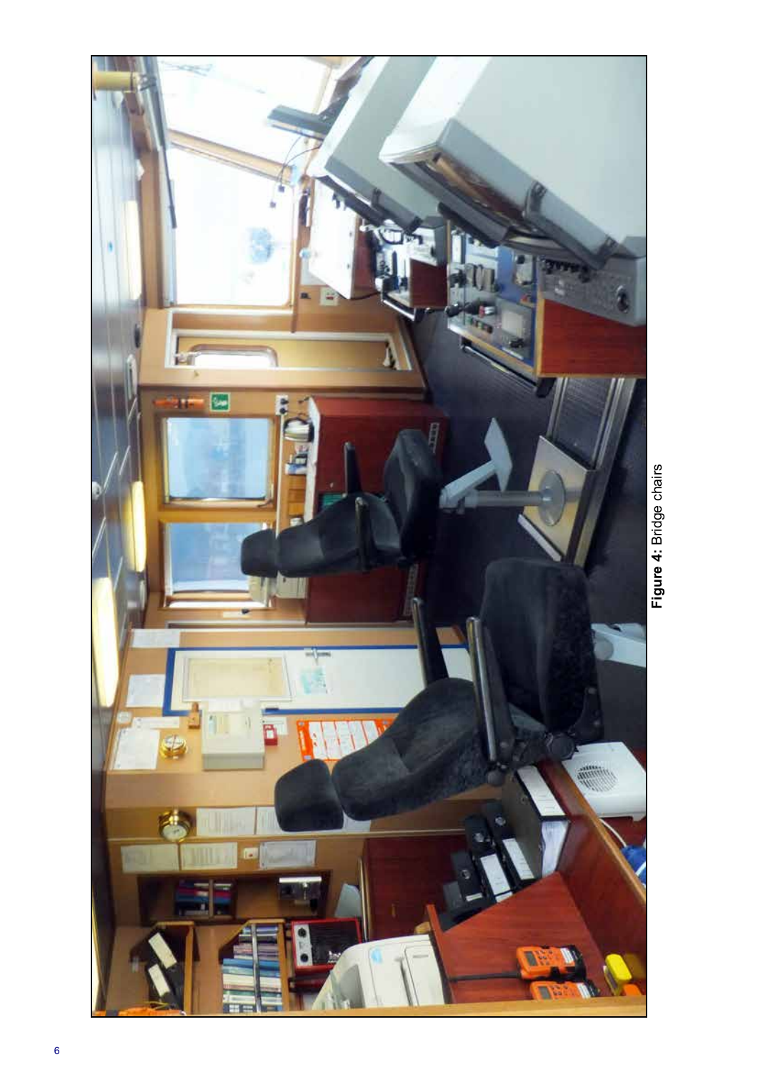

Figure 4: Bridge chairs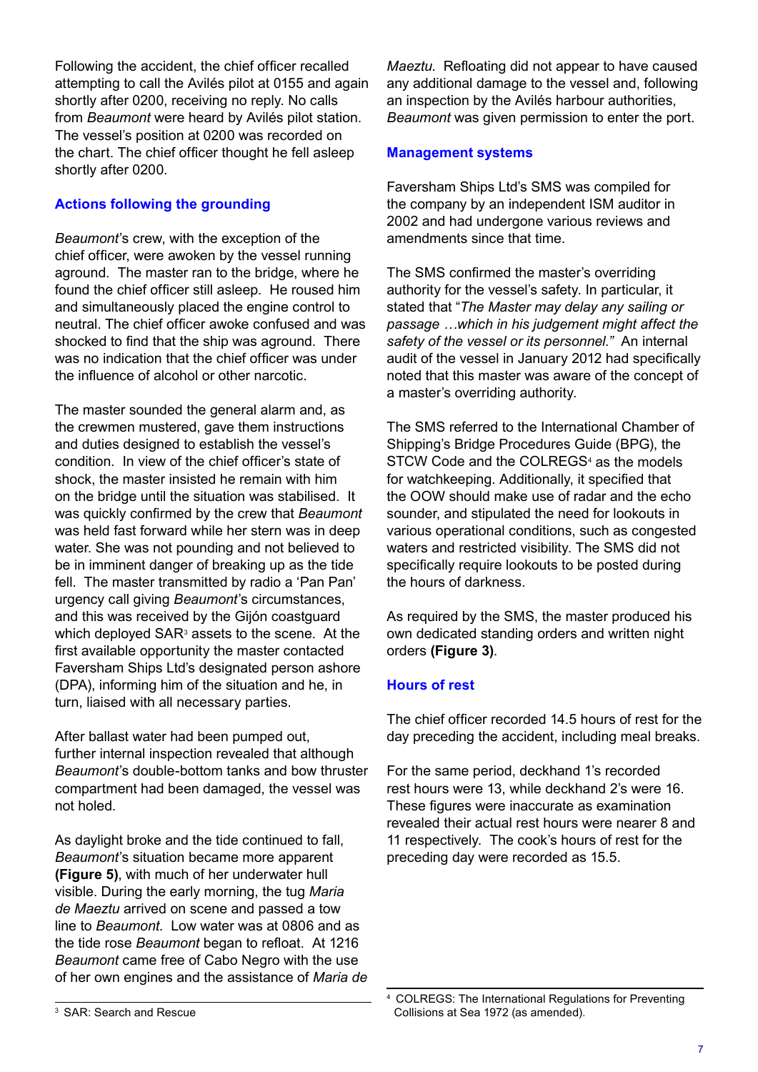Following the accident, the chief officer recalled attempting to call the Avilés pilot at 0155 and again shortly after 0200, receiving no reply. No calls from *Beaumont* were heard by Avilés pilot station. The vessel's position at 0200 was recorded on the chart. The chief officer thought he fell asleep shortly after 0200.

# **Actions following the grounding**

*Beaumont*'s crew, with the exception of the chief officer, were awoken by the vessel running aground. The master ran to the bridge, where he found the chief officer still asleep. He roused him and simultaneously placed the engine control to neutral. The chief officer awoke confused and was shocked to find that the ship was aground. There was no indication that the chief officer was under the influence of alcohol or other narcotic.

The master sounded the general alarm and, as the crewmen mustered, gave them instructions and duties designed to establish the vessel's condition. In view of the chief officer's state of shock, the master insisted he remain with him on the bridge until the situation was stabilised. It was quickly confirmed by the crew that *Beaumont* was held fast forward while her stern was in deep water. She was not pounding and not believed to be in imminent danger of breaking up as the tide fell. The master transmitted by radio a 'Pan Pan' urgency call giving *Beaumont*'s circumstances, and this was received by the Gijón coastguard which deployed  $\mathsf{SAR}^3$  assets to the scene. At the first available opportunity the master contacted Faversham Ships Ltd's designated person ashore (DPA), informing him of the situation and he, in turn, liaised with all necessary parties.

After ballast water had been pumped out, further internal inspection revealed that although *Beaumont*'s double-bottom tanks and bow thruster compartment had been damaged, the vessel was not holed.

As daylight broke and the tide continued to fall, *Beaumont*'s situation became more apparent **(Figure 5)**, with much of her underwater hull visible. During the early morning, the tug *Maria de Maeztu* arrived on scene and passed a tow line to *Beaumont*. Low water was at 0806 and as the tide rose *Beaumont* began to refloat. At 1216 *Beaumont* came free of Cabo Negro with the use of her own engines and the assistance of *Maria de*  *Maeztu*. Refloating did not appear to have caused any additional damage to the vessel and, following an inspection by the Avilés harbour authorities, *Beaumont* was given permission to enter the port.

# **Management systems**

Faversham Ships Ltd's SMS was compiled for the company by an independent ISM auditor in 2002 and had undergone various reviews and amendments since that time.

The SMS confirmed the master's overriding authority for the vessel's safety. In particular, it stated that "*The Master may delay any sailing or passage …which in his judgement might affect the safety of the vessel or its personnel."* An internal audit of the vessel in January 2012 had specifically noted that this master was aware of the concept of a master's overriding authority.

The SMS referred to the International Chamber of Shipping's Bridge Procedures Guide (BPG), the STCW Code and the COLREGS<sup>4</sup> as the models for watchkeeping. Additionally, it specified that the OOW should make use of radar and the echo sounder, and stipulated the need for lookouts in various operational conditions, such as congested waters and restricted visibility. The SMS did not specifically require lookouts to be posted during the hours of darkness.

As required by the SMS, the master produced his own dedicated standing orders and written night orders **(Figure 3)**.

# **Hours of rest**

The chief officer recorded 14.5 hours of rest for the day preceding the accident, including meal breaks.

For the same period, deckhand 1's recorded rest hours were 13, while deckhand 2's were 16. These figures were inaccurate as examination revealed their actual rest hours were nearer 8 and 11 respectively. The cook's hours of rest for the preceding day were recorded as 15.5.

<sup>4</sup> COLREGS: The International Regulations for Preventing Collisions at Sea 1972 (as amended).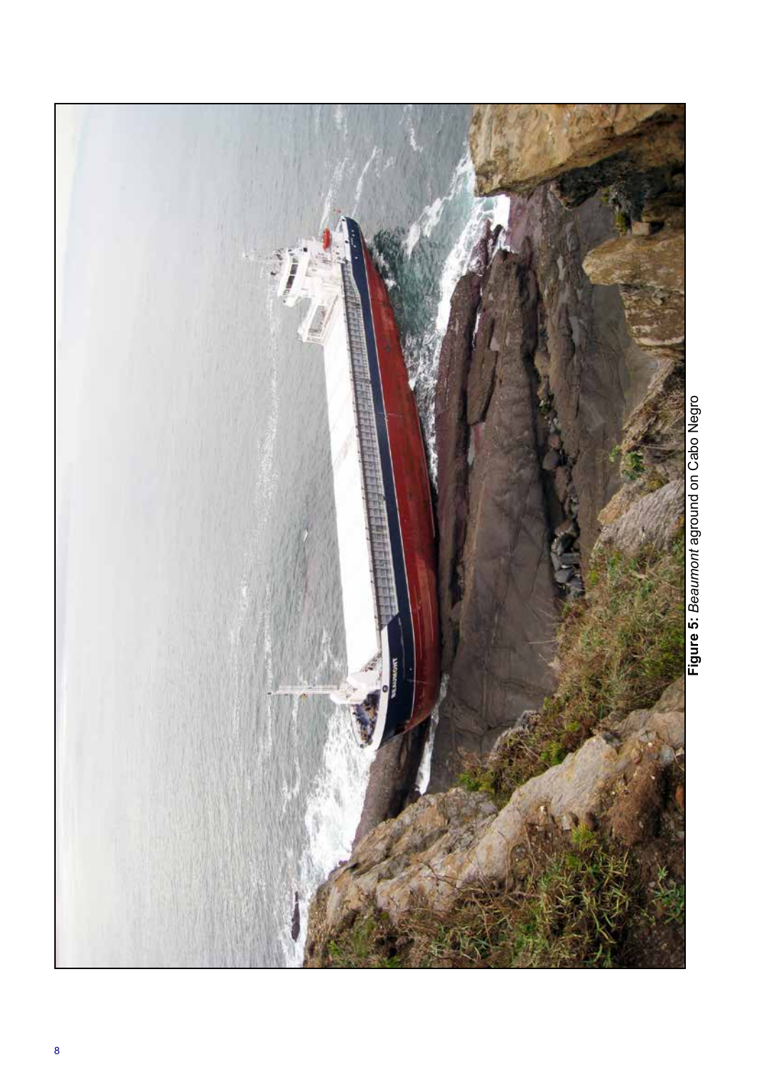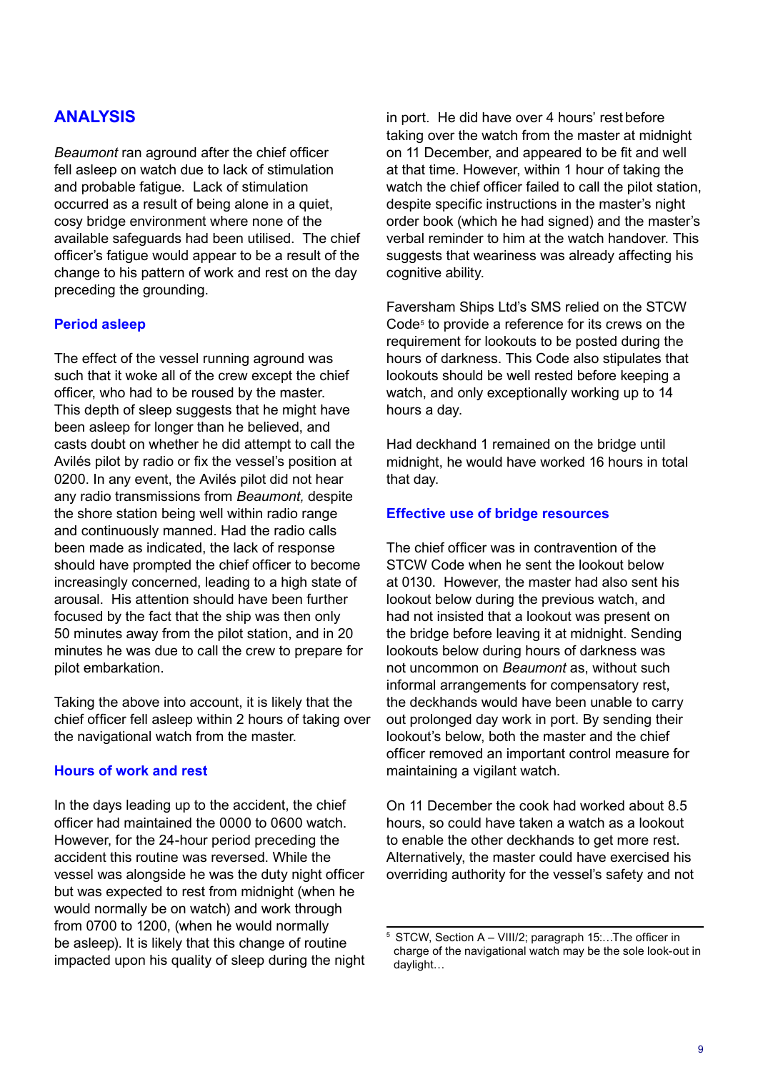# **ANALYSIS**

*Beaumont* ran aground after the chief officer fell asleep on watch due to lack of stimulation and probable fatigue. Lack of stimulation occurred as a result of being alone in a quiet, cosy bridge environment where none of the available safeguards had been utilised. The chief officer's fatigue would appear to be a result of the change to his pattern of work and rest on the day preceding the grounding.

#### **Period asleep**

The effect of the vessel running aground was such that it woke all of the crew except the chief officer, who had to be roused by the master. This depth of sleep suggests that he might have been asleep for longer than he believed, and casts doubt on whether he did attempt to call the Avilés pilot by radio or fix the vessel's position at 0200. In any event, the Avilés pilot did not hear any radio transmissions from *Beaumont,* despite the shore station being well within radio range and continuously manned. Had the radio calls been made as indicated, the lack of response should have prompted the chief officer to become increasingly concerned, leading to a high state of arousal. His attention should have been further focused by the fact that the ship was then only 50 minutes away from the pilot station, and in 20 minutes he was due to call the crew to prepare for pilot embarkation.

Taking the above into account, it is likely that the chief officer fell asleep within 2 hours of taking over the navigational watch from the master.

#### **Hours of work and rest**

In the days leading up to the accident, the chief officer had maintained the 0000 to 0600 watch. However, for the 24-hour period preceding the accident this routine was reversed. While the vessel was alongside he was the duty night officer but was expected to rest from midnight (when he would normally be on watch) and work through from 0700 to 1200, (when he would normally be asleep). It is likely that this change of routine impacted upon his quality of sleep during the night in port. He did have over 4 hours' rest before taking over the watch from the master at midnight on 11 December, and appeared to be fit and well at that time. However, within 1 hour of taking the watch the chief officer failed to call the pilot station, despite specific instructions in the master's night order book (which he had signed) and the master's verbal reminder to him at the watch handover. This suggests that weariness was already affecting his cognitive ability.

Faversham Ships Ltd's SMS relied on the STCW Code<sup>5</sup> to provide a reference for its crews on the requirement for lookouts to be posted during the hours of darkness. This Code also stipulates that lookouts should be well rested before keeping a watch, and only exceptionally working up to 14 hours a day.

Had deckhand 1 remained on the bridge until midnight, he would have worked 16 hours in total that day.

#### **Effective use of bridge resources**

The chief officer was in contravention of the STCW Code when he sent the lookout below at 0130. However, the master had also sent his lookout below during the previous watch, and had not insisted that a lookout was present on the bridge before leaving it at midnight. Sending lookouts below during hours of darkness was not uncommon on *Beaumont* as, without such informal arrangements for compensatory rest, the deckhands would have been unable to carry out prolonged day work in port. By sending their lookout's below, both the master and the chief officer removed an important control measure for maintaining a vigilant watch.

On 11 December the cook had worked about 8.5 hours, so could have taken a watch as a lookout to enable the other deckhands to get more rest. Alternatively, the master could have exercised his overriding authority for the vessel's safety and not

<sup>5</sup> STCW, Section A – VIII/2; paragraph 15:…The officer in charge of the navigational watch may be the sole look-out in daylight…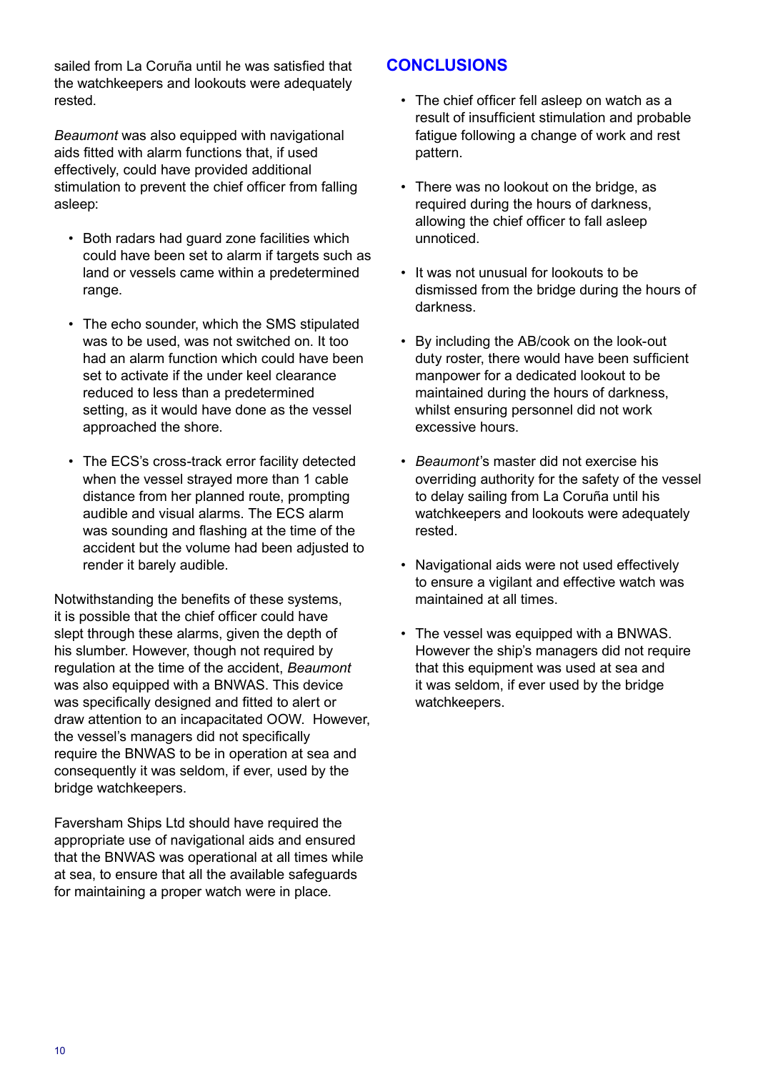sailed from La Coruña until he was satisfied that the watchkeepers and lookouts were adequately rested.

*Beaumont* was also equipped with navigational aids fitted with alarm functions that, if used effectively, could have provided additional stimulation to prevent the chief officer from falling asleep:

- Both radars had guard zone facilities which could have been set to alarm if targets such as land or vessels came within a predetermined range.
- The echo sounder, which the SMS stipulated was to be used, was not switched on. It too had an alarm function which could have been set to activate if the under keel clearance reduced to less than a predetermined setting, as it would have done as the vessel approached the shore.
- The ECS's cross-track error facility detected when the vessel strayed more than 1 cable distance from her planned route, prompting audible and visual alarms. The ECS alarm was sounding and flashing at the time of the accident but the volume had been adjusted to render it barely audible.

Notwithstanding the benefits of these systems, it is possible that the chief officer could have slept through these alarms, given the depth of his slumber. However, though not required by regulation at the time of the accident, *Beaumont*  was also equipped with a BNWAS. This device was specifically designed and fitted to alert or draw attention to an incapacitated OOW. However, the vessel's managers did not specifically require the BNWAS to be in operation at sea and consequently it was seldom, if ever, used by the bridge watchkeepers.

Faversham Ships Ltd should have required the appropriate use of navigational aids and ensured that the BNWAS was operational at all times while at sea, to ensure that all the available safeguards for maintaining a proper watch were in place.

# **CONCLUSIONS**

- The chief officer fell asleep on watch as a result of insufficient stimulation and probable fatigue following a change of work and rest pattern.
- There was no lookout on the bridge, as required during the hours of darkness, allowing the chief officer to fall asleep unnoticed.
- It was not unusual for lookouts to be dismissed from the bridge during the hours of darkness.
- By including the AB/cook on the look-out duty roster, there would have been sufficient manpower for a dedicated lookout to be maintained during the hours of darkness, whilst ensuring personnel did not work excessive hours.
- *• Beaumont*'s master did not exercise his overriding authority for the safety of the vessel to delay sailing from La Coruña until his watchkeepers and lookouts were adequately rested.
- Navigational aids were not used effectively to ensure a vigilant and effective watch was maintained at all times.
- The vessel was equipped with a BNWAS. However the ship's managers did not require that this equipment was used at sea and it was seldom, if ever used by the bridge watchkeepers.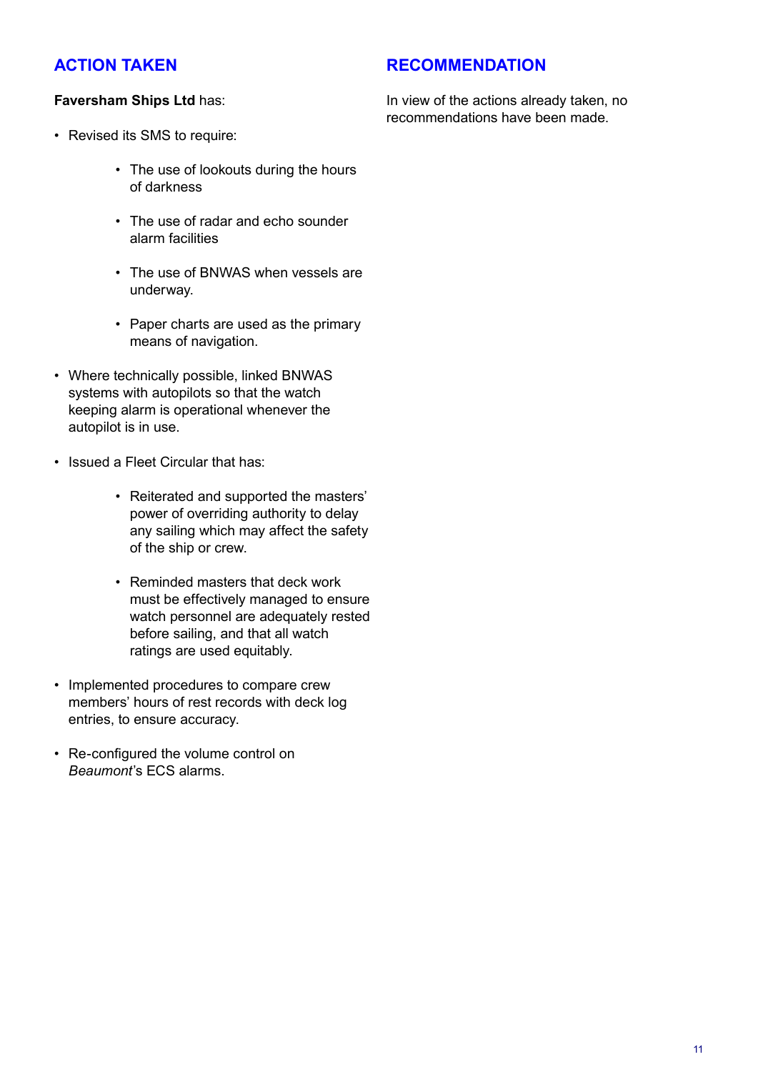# **ACTION TAKEN**

# **RECOMMENDATION**

### **Faversham Ships Ltd** has:

- Revised its SMS to require:
	- The use of lookouts during the hours of darkness
	- The use of radar and echo sounder alarm facilities
	- The use of BNWAS when vessels are underway.
	- Paper charts are used as the primary means of navigation.
- Where technically possible, linked BNWAS systems with autopilots so that the watch keeping alarm is operational whenever the autopilot is in use.
- Issued a Fleet Circular that has:
	- Reiterated and supported the masters' power of overriding authority to delay any sailing which may affect the safety of the ship or crew.
	- Reminded masters that deck work must be effectively managed to ensure watch personnel are adequately rested before sailing, and that all watch ratings are used equitably.
- Implemented procedures to compare crew members' hours of rest records with deck log entries, to ensure accuracy.
- Re-configured the volume control on *Beaumont*'s ECS alarms.

In view of the actions already taken, no recommendations have been made.